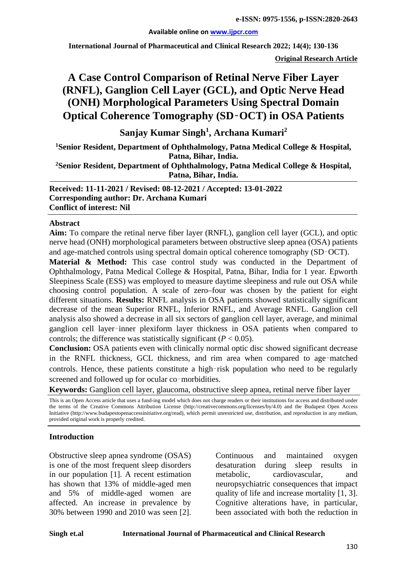#### **Available online on [www.ijpcr.com](http://www.ijpcr.com/)**

**International Journal of Pharmaceutical and Clinical Research 2022; 14(4); 130-136**

**Original Research Article**

# **A Case Control Comparison of Retinal Nerve Fiber Layer (RNFL), Ganglion Cell Layer (GCL), and Optic Nerve Head (ONH) Morphological Parameters Using Spectral Domain Optical Coherence Tomography (SD**‑**OCT) in OSA Patients**

**Sanjay Kumar Singh1 , Archana Kumari<sup>2</sup>**

**1Senior Resident, Department of Ophthalmology, Patna Medical College & Hospital, Patna, Bihar, India.**

**2Senior Resident, Department of Ophthalmology, Patna Medical College & Hospital, Patna, Bihar, India.**

**Received: 11-11-2021 / Revised: 08-12-2021 / Accepted: 13-01-2022 Corresponding author: Dr. Archana Kumari Conflict of interest: Nil**

#### **Abstract**

**Aim:** To compare the retinal nerve fiber layer (RNFL), ganglion cell layer (GCL), and optic nerve head (ONH) morphological parameters between obstructive sleep apnea (OSA) patients and age-matched controls using spectral domain optical coherence tomography (SD‑OCT).

**Material & Method:** This case control study was conducted in the Department of Ophthalmology, Patna Medical College & Hospital, Patna, Bihar, India for 1 year. Epworth Sleepiness Scale (ESS) was employed to measure daytime sleepiness and rule out OSA while choosing control population. A scale of zero–four was chosen by the patient for eight different situations. **Results:** RNFL analysis in OSA patients showed statistically significant decrease of the mean Superior RNFL, Inferior RNFL, and Average RNFL. Ganglion cell analysis also showed a decrease in all six sectors of ganglion cell layer, average, and minimal ganglion cell layer‑inner plexiform layer thickness in OSA patients when compared to controls; the difference was statistically significant  $(P < 0.05)$ .

**Conclusion:** OSA patients even with clinically normal optic disc showed significant decrease in the RNFL thickness, GCL thickness, and rim area when compared to age–matched controls. Hence, these patients constitute a high–risk population who need to be regularly screened and followed up for ocular co-morbidities.

**Keywords:** Ganglion cell layer, glaucoma, obstructive sleep apnea, retinal nerve fiber layer

This is an Open Access article that uses a fund-ing model which does not charge readers or their institutions for access and distributed under the terms of the Creative Commons Attribution License (http://creativecommons.org/licenses/by/4.0) and the Budapest Open Access Initiative (http://www.budapestopenaccessinitiative.org/read), which permit unrestricted use, distribution, and reproduction in any medium, provided original work is properly credited.

#### **Introduction**

Obstructive sleep apnea syndrome (OSAS) is one of the most frequent sleep disorders in our population [1]. A recent estimation has shown that 13% of middle-aged men and 5% of middle-aged women are affected. An increase in prevalence by 30% between 1990 and 2010 was seen [2].

Continuous and maintained oxygen desaturation during sleep results in metabolic, cardiovascular, and neuropsychiatric consequences that impact quality of life and increase mortality [1, 3]. Cognitive alterations have, in particular, been associated with both the reduction in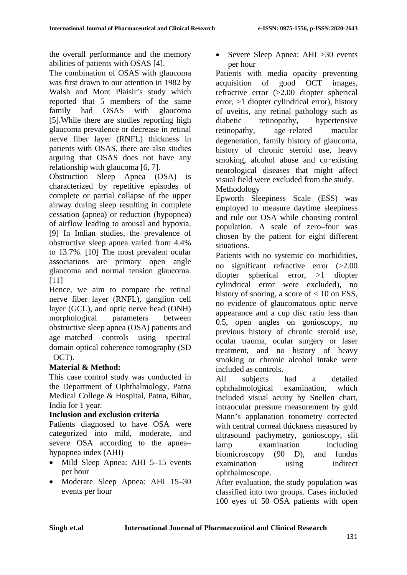the overall performance and the memory abilities of patients with OSAS [4].

The combination of OSAS with glaucoma was first drawn to our attention in 1982 by Walsh and Mont Plaisir's study which reported that 5 members of the same family had OSAS with glaucoma [5].While there are studies reporting high glaucoma prevalence or decrease in retinal nerve fiber layer (RNFL) thickness in patients with OSAS, there are also studies arguing that OSAS does not have any relationship with glaucoma [6, 7].

Obstruction Sleep Apnea (OSA) is characterized by repetitive episodes of complete or partial collapse of the upper airway during sleep resulting in complete cessation (apnea) or reduction (hypopnea) of airflow leading to arousal and hypoxia. [9] In Indian studies, the prevalence of obstructive sleep apnea varied from 4.4% to 13.7%. [10] The most prevalent ocular associations are primary open angle glaucoma and normal tension glaucoma. [11]

Hence, we aim to compare the retinal nerve fiber layer (RNFL), ganglion cell layer (GCL), and optic nerve head (ONH) morphological parameters between obstructive sleep apnea (OSA) patients and age‑matched controls using spectral domain optical coherence tomography (SD  $-OCT$ ).

### **Material & Method:**

This case control study was conducted in the Department of Ophthalmology, Patna Medical College & Hospital, Patna, Bihar, India for 1 year.

### **Inclusion and exclusion criteria**

Patients diagnosed to have OSA were categorized into mild, moderate, and severe OSA according to the apnea– hypopnea index (AHI)

- Mild Sleep Apnea: AHI 5–15 events per hour
- Moderate Sleep Apnea: AHI 15–30 events per hour

• Severe Sleep Apnea: AHI > 30 events per hour

Patients with media opacity preventing acquisition of good OCT images, refractive error (>2.00 diopter spherical error, >1 diopter cylindrical error), history of uveitis, any retinal pathology such as diabetic retinopathy, hypertensive retinopathy, age–related macular degeneration, family history of glaucoma, history of chronic steroid use, heavy smoking, alcohol abuse and co-existing neurological diseases that might affect visual field were excluded from the study. Methodology

Epworth Sleepiness Scale (ESS) was employed to measure daytime sleepiness and rule out OSA while choosing control population. A scale of zero–four was chosen by the patient for eight different situations.

Patients with no systemic co-morbidities, no significant refractive error (>2.00 diopter spherical error, >1 diopter cylindrical error were excluded), no history of snoring, a score of  $< 10$  on ESS, no evidence of glaucomatous optic nerve appearance and a cup disc ratio less than 0.5, open angles on gonioscopy, no previous history of chronic steroid use, ocular trauma, ocular surgery or laser treatment, and no history of heavy smoking or chronic alcohol intake were included as controls.

All subjects had a detailed ophthalmological examination, which included visual acuity by Snellen chart, intraocular pressure measurement by gold Mann's applanation tonometry corrected with central corneal thickness measured by ultrasound pachymetry, gonioscopy, slit lamp examination including biomicroscopy (90 D), and fundus examination using indirect ophthalmoscope.

After evaluation, the study population was classified into two groups. Cases included 100 eyes of 50 OSA patients with open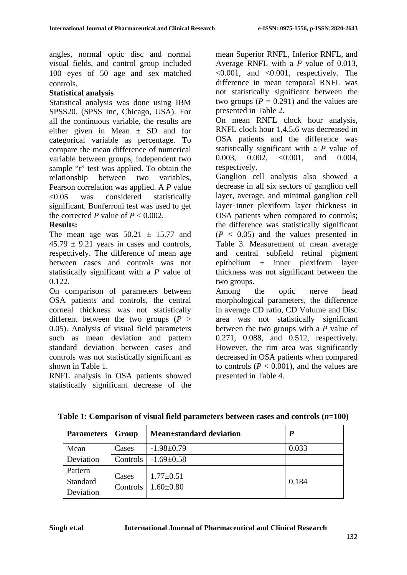angles, normal optic disc and normal visual fields, and control group included 100 eyes of 50 age and sex‑matched controls.

#### **Statistical analysis**

Statistical analysis was done using IBM SPSS20. (SPSS Inc, Chicago, USA). For all the continuous variable, the results are either given in Mean ± SD and for categorical variable as percentage. To compare the mean difference of numerical variable between groups, independent two sample "t" test was applied. To obtain the relationship between two variables, Pearson correlation was applied. A *P* value <0.05 was considered statistically significant. Bonferroni test was used to get the corrected *P* value of  $P < 0.002$ .

#### **Results:**

The mean age was  $50.21 \pm 15.77$  and  $45.79 \pm 9.21$  years in cases and controls. respectively. The difference of mean age between cases and controls was not statistically significant with a *P* value of 0.122.

On comparison of parameters between OSA patients and controls, the central corneal thickness was not statistically different between the two groups (*P* > 0.05). Analysis of visual field parameters such as mean deviation and pattern standard deviation between cases and controls was not statistically significant as shown in Table 1.

RNFL analysis in OSA patients showed statistically significant decrease of the

mean Superior RNFL, Inferior RNFL, and Average RNFL with a *P* value of 0.013,  $\leq 0.001$ , and  $\leq 0.001$ , respectively. The difference in mean temporal RNFL was not statistically significant between the two groups  $(P = 0.291)$  and the values are presented in Table 2.

On mean RNFL clock hour analysis, RNFL clock hour 1,4,5,6 was decreased in OSA patients and the difference was statistically significant with a *P* value of 0.003, 0.002, <0.001, and 0.004, respectively.

Ganglion cell analysis also showed a decrease in all six sectors of ganglion cell layer, average, and minimal ganglion cell layer‑inner plexiform layer thickness in OSA patients when compared to controls; the difference was statistically significant  $(P < 0.05)$  and the values presented in Table 3. Measurement of mean average and central subfield retinal pigment epithelium + inner plexiform layer thickness was not significant between the two groups.

Among the optic nerve head morphological parameters, the difference in average CD ratio, CD Volume and Disc area was not statistically significant between the two groups with a *P* value of 0.271, 0.088, and 0.512, respectively. However, the rim area was significantly decreased in OSA patients when compared to controls  $(P < 0.001)$ , and the values are presented in Table 4.

| Parameters                       | Group             | <b>Mean</b> ±standard deviation    | $\boldsymbol{P}$ |
|----------------------------------|-------------------|------------------------------------|------------------|
| Mean                             | Cases             | $-1.98 \pm 0.79$                   | 0.033            |
| Deviation                        |                   | Controls $\vert$ -1.69 $\pm$ 0.58  |                  |
| Pattern<br>Standard<br>Deviation | Cases<br>Controls | $1.77 \pm 0.51$<br>$1.60 \pm 0.80$ | 0.184            |

**Table 1: Comparison of visual field parameters between cases and controls (***n***=100)**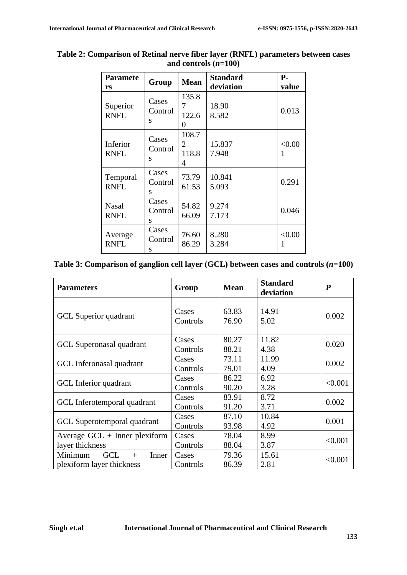| <b>Paramete</b><br>rs       | Group                 | <b>Mean</b>                           | <b>Standard</b><br>deviation | $P-$<br>value |
|-----------------------------|-----------------------|---------------------------------------|------------------------------|---------------|
| Superior<br><b>RNFL</b>     | Cases<br>Control<br>S | 135.8<br>7<br>122.6<br>0              | 18.90<br>8.582               | 0.013         |
| Inferior<br><b>RNFL</b>     | Cases<br>Control<br>S | 108.7<br>$\overline{2}$<br>118.8<br>4 | 15.837<br>7.948              | < 0.00<br>1   |
| Temporal<br><b>RNFL</b>     | Cases<br>Control<br>S | 73.79<br>61.53                        | 10.841<br>5.093              | 0.291         |
| <b>Nasal</b><br><b>RNFL</b> | Cases<br>Control<br>S | 54.82<br>66.09                        | 9.274<br>7.173               | 0.046         |
| Average<br><b>RNFL</b>      | Cases<br>Control<br>S | 76.60<br>86.29                        | 8.280<br>3.284               | < 0.00<br>1   |

#### **Table 2: Comparison of Retinal nerve fiber layer (RNFL) parameters between cases**  and controls  $(n=100)$

**Table 3: Comparison of ganglion cell layer (GCL) between cases and controls (***n***=100)**

| <b>Parameters</b>                                                  | Group             | <b>Mean</b>    | <b>Standard</b><br>deviation | $\boldsymbol{P}$ |
|--------------------------------------------------------------------|-------------------|----------------|------------------------------|------------------|
| GCL Superior quadrant                                              | Cases<br>Controls | 63.83<br>76.90 | 14.91<br>5.02                | 0.002            |
| GCL Superonasal quadrant                                           | Cases<br>Controls | 80.27<br>88.21 | 11.82<br>4.38                | 0.020            |
| GCL Inferonasal quadrant                                           | Cases<br>Controls | 73.11<br>79.01 | 11.99<br>4.09                | 0.002            |
| GCL Inferior quadrant                                              | Cases<br>Controls | 86.22<br>90.20 | 6.92<br>3.28                 | < 0.001          |
| GCL Inferotemporal quadrant                                        | Cases<br>Controls | 83.91<br>91.20 | 8.72<br>3.71                 | 0.002            |
| GCL Superotemporal quadrant                                        | Cases<br>Controls | 87.10<br>93.98 | 10.84<br>4.92                | 0.001            |
| Average $GCL$ + Inner plexiform<br>layer thickness                 | Cases<br>Controls | 78.04<br>88.04 | 8.99<br>3.87                 | < 0.001          |
| Minimum<br><b>GCL</b><br>Inner<br>$+$<br>plexiform layer thickness | Cases<br>Controls | 79.36<br>86.39 | 15.61<br>2.81                | < 0.001          |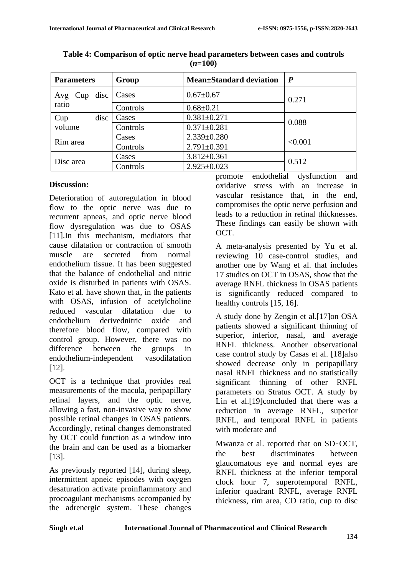| <b>Parameters</b> | <b>Mean</b> ±Standard deviation<br>Group |                   | $\boldsymbol{P}$ |  |
|-------------------|------------------------------------------|-------------------|------------------|--|
| Avg $Cup$ disc    | Cases                                    | $0.67 \pm 0.67$   | 0.271            |  |
| ratio             | Controls                                 | $0.68 \pm 0.21$   |                  |  |
| Cup<br>disc       | Cases                                    | $0.381 \pm 0.271$ | 0.088            |  |
| volume            | Controls                                 | $0.371 \pm 0.281$ |                  |  |
|                   | Cases                                    | $2.339 \pm 0.280$ | < 0.001          |  |
| Rim area          | Controls                                 | $2.791 \pm 0.391$ |                  |  |
|                   | Cases                                    | $3.812 \pm 0.361$ | 0.512            |  |
| Disc area         | Controls                                 | $2.925 \pm 0.023$ |                  |  |

**Table 4: Comparison of optic nerve head parameters between cases and controls (***n***=100)**

#### **Discussion:**

Deterioration of autoregulation in blood flow to the optic nerve was due to recurrent apneas, and optic nerve blood flow dysregulation was due to OSAS [11].In this mechanism, mediators that cause dilatation or contraction of smooth muscle are secreted from normal endothelium tissue. It has been suggested that the balance of endothelial and nitric oxide is disturbed in patients with OSAS. Kato et al. have shown that, in the patients with OSAS, infusion of acetylcholine reduced vascular dilatation due to endothelium derivednitric oxide and therefore blood flow, compared with control group. However, there was no difference between the groups in endothelium-independent vasodilatation [12].

OCT is a technique that provides real measurements of the macula, peripapillary retinal layers, and the optic nerve, allowing a fast, non-invasive way to show possible retinal changes in OSAS patients. Accordingly, retinal changes demonstrated by OCT could function as a window into the brain and can be used as a biomarker [13].

As previously reported [14], during sleep, intermittent apneic episodes with oxygen desaturation activate proinflammatory and procoagulant mechanisms accompanied by the adrenergic system. These changes

promote endothelial dysfunction and oxidative stress with an increase in vascular resistance that, in the end, compromises the optic nerve perfusion and leads to a reduction in retinal thicknesses. These findings can easily be shown with OCT.

A meta-analysis presented by Yu et al. reviewing 10 case-control studies, and another one by Wang et al. that includes 17 studies on OCT in OSAS, show that the average RNFL thickness in OSAS patients is significantly reduced compared to healthy controls [15, 16].

A study done by Zengin et al.[17]on OSA patients showed a significant thinning of superior, inferior, nasal, and average RNFL thickness. Another observational case control study by Casas et al. [18]also showed decrease only in peripapillary nasal RNFL thickness and no statistically significant thinning of other RNFL parameters on Stratus OCT. A study by Lin et al.<sup>[19]</sup>concluded that there was a reduction in average RNFL, superior RNFL, and temporal RNFL in patients with moderate and

Mwanza et al. reported that on SD‑OCT, the best discriminates between glaucomatous eye and normal eyes are RNFL thickness at the inferior temporal clock hour 7, superotemporal RNFL, inferior quadrant RNFL, average RNFL thickness, rim area, CD ratio, cup to disc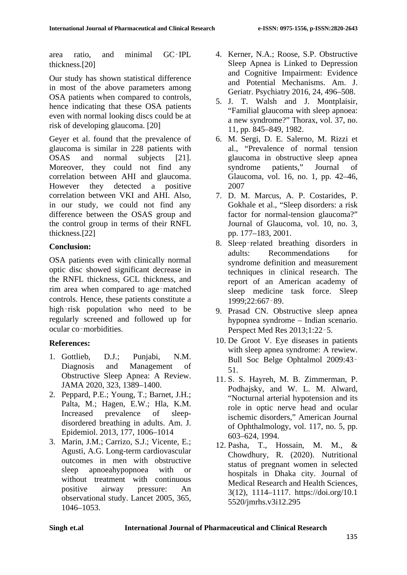area ratio, and minimal GC‑IPL thickness.[20]

Our study has shown statistical difference in most of the above parameters among OSA patients when compared to controls, hence indicating that these OSA patients even with normal looking discs could be at risk of developing glaucoma. [20]

Geyer et al. found that the prevalence of glaucoma is similar in 228 patients with OSAS and normal subjects [21]. Moreover, they could not find any correlation between AHI and glaucoma. However they detected a positive correlation between VKI and AHI. Also, in our study, we could not find any difference between the OSAS group and the control group in terms of their RNFL thickness.[22]

## **Conclusion:**

OSA patients even with clinically normal optic disc showed significant decrease in the RNFL thickness, GCL thickness, and rim area when compared to age‑matched controls. Hence, these patients constitute a high-risk population who need to be regularly screened and followed up for ocular co‑morbidities.

# **References:**

- 1. Gottlieb, D.J.; Punjabi, N.M. Diagnosis and Management of Obstructive Sleep Apnea: A Review. JAMA 2020, 323, 1389–1400.
- 2. Peppard, P.E.; Young, T.; Barnet, J.H.; Palta, M.; Hagen, E.W.; Hla, K.M. Increased prevalence of sleepdisordered breathing in adults. Am. J. Epidemiol. 2013, 177, 1006–1014
- 3. Marin, J.M.; Carrizo, S.J.; Vicente, E.; Agusti, A.G. Long-term cardiovascular outcomes in men with obstructive sleep apnoeahypopnoea with or without treatment with continuous positive airway pressure: An observational study. Lancet 2005, 365, 1046–1053.
- 4. Kerner, N.A.; Roose, S.P. Obstructive Sleep Apnea is Linked to Depression and Cognitive Impairment: Evidence and Potential Mechanisms. Am. J. Geriatr. Psychiatry 2016, 24, 496–508.
- 5. J. T. Walsh and J. Montplaisir, "Familial glaucoma with sleep apnoea: a new syndrome?" Thorax, vol. 37, no. 11, pp. 845–849, 1982.
- 6. M. Sergi, D. E. Salerno, M. Rizzi et al., "Prevalence of normal tension glaucoma in obstructive sleep apnea syndrome patients," Journal of Glaucoma, vol. 16, no. 1, pp. 42–46, 2007
- 7. D. M. Marcus, A. P. Costarides, P. Gokhale et al., "Sleep disorders: a risk factor for normal-tension glaucoma?" Journal of Glaucoma, vol. 10, no. 3, pp. 177–183, 2001.
- 8. Sleep‑related breathing disorders in adults: Recommendations for syndrome definition and measurement techniques in clinical research. The report of an American academy of sleep medicine task force. Sleep 1999;22:667‑89.
- 9. Prasad CN. Obstructive sleep apnea hypopnea syndrome – Indian scenario. Perspect Med Res 2013;1:22‑5.
- 10. De Groot V. Eye diseases in patients with sleep apnea syndrome: A rewiew. Bull Soc Belge Ophtalmol 2009:43‑ 51.
- 11. S. S. Hayreh, M. B. Zimmerman, P. Podhajsky, and W. L. M. Alward, "Nocturnal arterial hypotension and its role in optic nerve head and ocular ischemic disorders," American Journal of Ophthalmology, vol. 117, no. 5, pp. 603–624, 1994.
- 12. Pasha, T., Hossain, M. M., & Chowdhury, R. (2020). Nutritional status of pregnant women in selected hospitals in Dhaka city. Journal of Medical Research and Health Sciences, 3(12), 1114–1117. https://doi.org/10.1 5520/jmrhs.v3i12.295